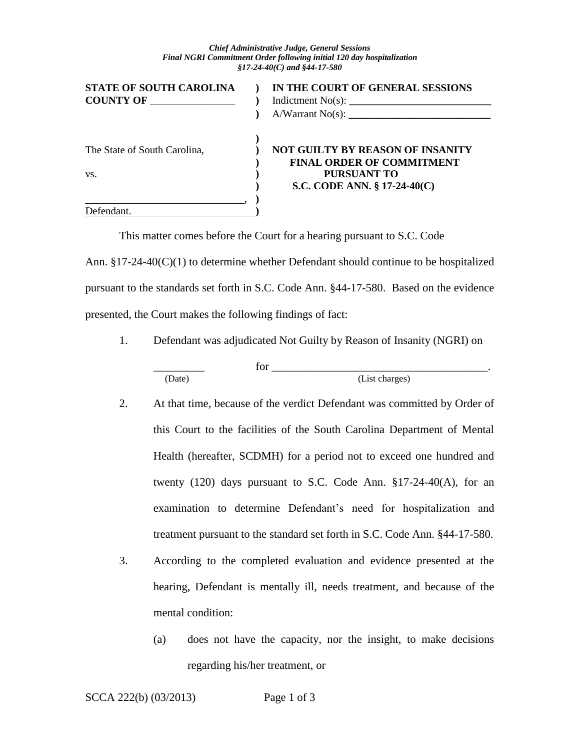#### *Chief Administrative Judge, General Sessions Final NGRI Commitment Order following initial 120 day hospitalization §17-24-40(C) and §44-17-580*

| <b>STATE OF SOUTH CAROLINA</b><br><b>COUNTY OF</b> | IN THE COURT OF GENERAL SESSIONS<br>A/Warrant No(s):                                                                          |
|----------------------------------------------------|-------------------------------------------------------------------------------------------------------------------------------|
| The State of South Carolina,<br>VS.                | <b>NOT GUILTY BY REASON OF INSANITY</b><br><b>FINAL ORDER OF COMMITMENT</b><br>PURSUANT TO<br>S.C. CODE ANN. $\S$ 17-24-40(C) |
| Defendant.                                         |                                                                                                                               |

This matter comes before the Court for a hearing pursuant to S.C. Code Ann.  $\S 17-24-40(C)(1)$  to determine whether Defendant should continue to be hospitalized pursuant to the standards set forth in S.C. Code Ann. §44-17-580. Based on the evidence presented, the Court makes the following findings of fact:

1. Defendant was adjudicated Not Guilty by Reason of Insanity (NGRI) on

| (Date) | (List charges) |  |
|--------|----------------|--|

- 2. At that time, because of the verdict Defendant was committed by Order of this Court to the facilities of the South Carolina Department of Mental Health (hereafter, SCDMH) for a period not to exceed one hundred and twenty  $(120)$  days pursuant to S.C. Code Ann.  $\S17-24-40(A)$ , for an examination to determine Defendant's need for hospitalization and treatment pursuant to the standard set forth in S.C. Code Ann. §44-17-580.
- 3. According to the completed evaluation and evidence presented at the hearing, Defendant is mentally ill, needs treatment, and because of the mental condition:
	- (a) does not have the capacity, nor the insight, to make decisions regarding his/her treatment, or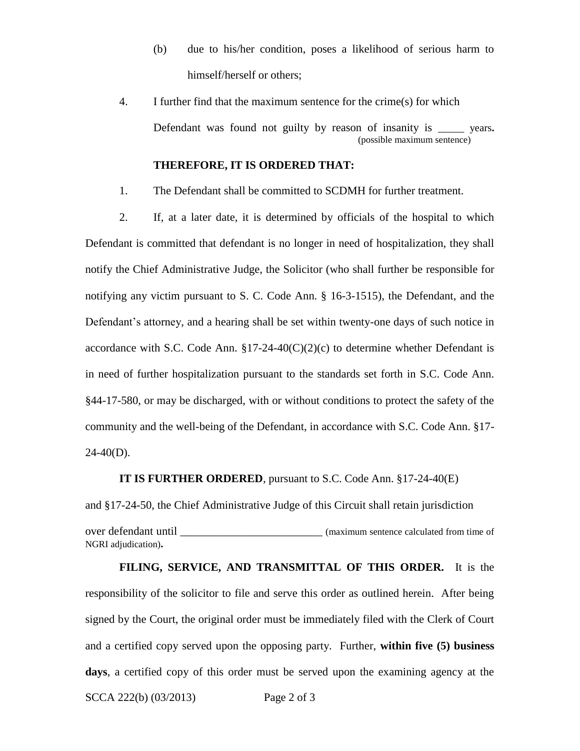- (b) due to his/her condition, poses a likelihood of serious harm to himself/herself or others;
- 4. I further find that the maximum sentence for the crime(s) for which Defendant was found not guilty by reason of insanity is \_\_\_\_\_ years**.**  (possible maximum sentence)

## **THEREFORE, IT IS ORDERED THAT:**

1. The Defendant shall be committed to SCDMH for further treatment.

2. If, at a later date, it is determined by officials of the hospital to which Defendant is committed that defendant is no longer in need of hospitalization, they shall notify the Chief Administrative Judge, the Solicitor (who shall further be responsible for notifying any victim pursuant to S. C. Code Ann. § 16-3-1515), the Defendant, and the Defendant's attorney, and a hearing shall be set within twenty-one days of such notice in accordance with S.C. Code Ann.  $\S17-24-40(C)(2)(c)$  to determine whether Defendant is in need of further hospitalization pursuant to the standards set forth in S.C. Code Ann. §44-17-580, or may be discharged, with or without conditions to protect the safety of the community and the well-being of the Defendant, in accordance with S.C. Code Ann. §17-  $24-40(D)$ .

### **IT IS FURTHER ORDERED**, pursuant to S.C. Code Ann. §17-24-40(E)

and §17-24-50, the Chief Administrative Judge of this Circuit shall retain jurisdiction

over defendant until \_\_\_\_\_\_\_\_\_\_\_\_\_\_\_\_\_\_\_\_\_\_\_\_\_ (maximum sentence calculated from time of NGRI adjudication)**.** 

SCCA 222(b) (03/2013) Page 2 of 3 **FILING, SERVICE, AND TRANSMITTAL OF THIS ORDER.** It is the responsibility of the solicitor to file and serve this order as outlined herein. After being signed by the Court, the original order must be immediately filed with the Clerk of Court and a certified copy served upon the opposing party. Further, **within five (5) business days**, a certified copy of this order must be served upon the examining agency at the